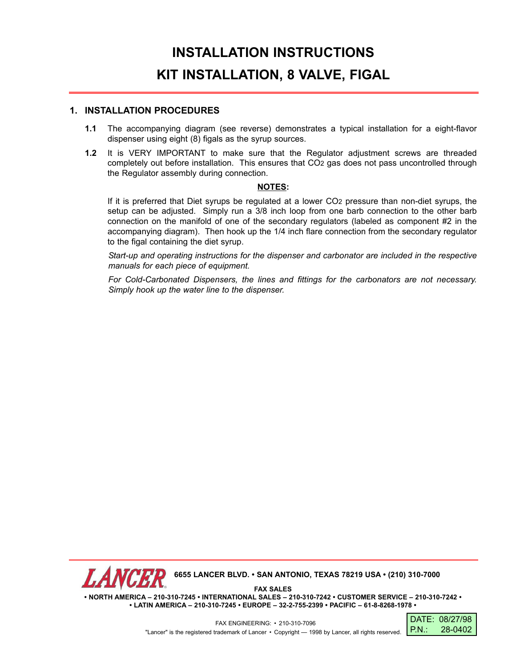## **INSTALLATION INSTRUCTIONS KIT INSTALLATION, 8 VALVE, FIGAL**

## **1. INSTALLATION PROCEDURES**

- **1.1** The accompanying diagram (see reverse) demonstrates a typical installation for a eight-flavor dispenser using eight (8) figals as the syrup sources.
- **1.2** It is VERY IMPORTANT to make sure that the Regulator adjustment screws are threaded completely out before installation. This ensures that CO2 gas does not pass uncontrolled through the Regulator assembly during connection.

## **NOTES:**

If it is preferred that Diet syrups be regulated at a lower CO2 pressure than non-diet syrups, the setup can be adjusted. Simply run a 3/8 inch loop from one barb connection to the other barb connection on the manifold of one of the secondary regulators (labeled as component #2 in the accompanying diagram). Then hook up the 1/4 inch flare connection from the secondary regulator to the figal containing the diet syrup.

*Start-up and operating instructions for the dispenser and carbonator are included in the respective manuals for each piece of equipment.*

*For Cold-Carbonated Dispensers, the lines and fittings for the carbonators are not necessary. Simply hook up the water line to the dispenser.*



**• LATIN AMERICA – 210-310-7245 • EUROPE – 32-2-755-2399 • PACIFIC – 61-8-8268-1978 •**

FAX ENGINEERING: • 210-310-7096 "Lancer" is the registered trademark of Lancer • Copyright — 1998 by Lancer, all rights reserved.